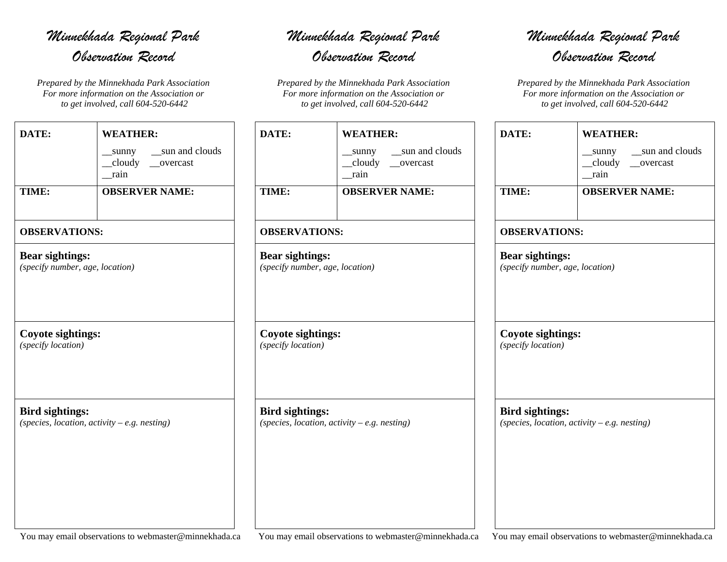## *Minnekhada Regional Park Observation Record*

*Prepared by the Minnekhada Park Association For more information on the Association or to get involved, call 604-520-6442*

| DATE:                                                     | <b>WEATHER:</b>                                       |  |  |
|-----------------------------------------------------------|-------------------------------------------------------|--|--|
|                                                           | sun and clouds<br>sunny<br>cloudy<br>overcast<br>rain |  |  |
| TIME:                                                     | <b>OBSERVER NAME:</b>                                 |  |  |
| <b>OBSERVATIONS:</b>                                      |                                                       |  |  |
| <b>Bear sightings:</b><br>(specify number, age, location) |                                                       |  |  |

## **Coyote sightings:**

*(specify location)*

**Bird sightings:**  *(species, location, activity – e.g. nesting)*

## *Minnekhada Regional Park*

*Observation Record* 

*Prepared by the Minnekhada Park Association For more information on the Association or to get involved, call 604-520-6442*

| DATE:                           | <b>WEATHER:</b>        |  |
|---------------------------------|------------------------|--|
|                                 | sunny __sun and clouds |  |
|                                 | _cloudy __overcast     |  |
|                                 | rain                   |  |
| TIME:                           | <b>OBSERVER NAME:</b>  |  |
| <b>OBSERVATIONS:</b>            |                        |  |
| <b>Bear sightings:</b>          |                        |  |
| (specify number, age, location) |                        |  |
| <b>Coyote sightings:</b>        |                        |  |
| (specify location)              |                        |  |

*Minnekhada Regional Park Observation Record* 

*Prepared by the Minnekhada Park Association For more information on the Association or to get involved, call 604-520-6442*

| DATE:                                          | <b>WEATHER:</b>                                     |  |  |
|------------------------------------------------|-----------------------------------------------------|--|--|
|                                                | sunny __sun and clouds<br>cloudy __overcast<br>rain |  |  |
| TIME:                                          | <b>OBSERVER NAME:</b>                               |  |  |
| <b>OBSERVATIONS:</b>                           |                                                     |  |  |
| <b>Bear sightings:</b>                         | (specify number, age, location)                     |  |  |
|                                                |                                                     |  |  |
| <b>Coyote sightings:</b><br>(specify location) |                                                     |  |  |

You may email observations to webmaster@minnekhada.ca You may email observations to webmaster@minnekhada.ca You may email observations to webmaster@minnekhada.ca